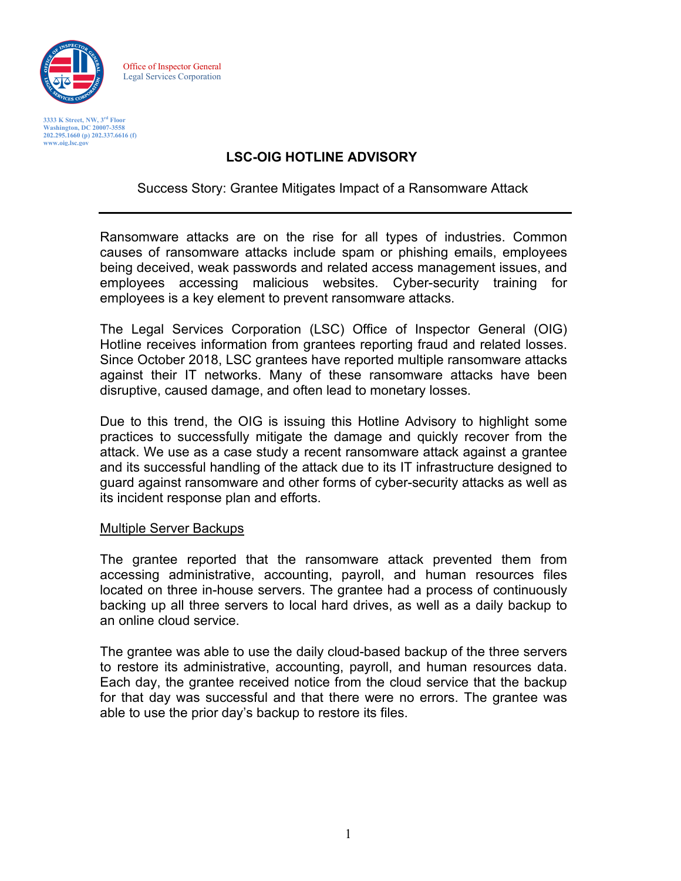

Office of Inspector General Legal Services Corporation

**3333 K Street, NW, 3rd Floor Washington, DC 20007-3558 202.295.1660 (p) 202.337.6616 (f) [www.oig.lsc.gov](http://www.oig.lsc.gov/)**

## **LSC-OIG HOTLINE ADVISORY**

Success Story: Grantee Mitigates Impact of a Ransomware Attack

Ransomware attacks are on the rise for all types of industries. Common causes of ransomware attacks include spam or phishing emails, employees being deceived, weak passwords and related access management issues, and employees accessing malicious websites. Cyber-security training for employees is a key element to prevent ransomware attacks.

The Legal Services Corporation (LSC) Office of Inspector General (OIG) Hotline receives information from grantees reporting fraud and related losses. Since October 2018, LSC grantees have reported multiple ransomware attacks against their IT networks. Many of these ransomware attacks have been disruptive, caused damage, and often lead to monetary losses.

Due to this trend, the OIG is issuing this Hotline Advisory to highlight some practices to successfully mitigate the damage and quickly recover from the attack. We use as a case study a recent ransomware attack against a grantee and its successful handling of the attack due to its IT infrastructure designed to guard against ransomware and other forms of cyber-security attacks as well as its incident response plan and efforts.

#### Multiple Server Backups

The grantee reported that the ransomware attack prevented them from accessing administrative, accounting, payroll, and human resources files located on three in-house servers. The grantee had a process of continuously backing up all three servers to local hard drives, as well as a daily backup to an online cloud service.

The grantee was able to use the daily cloud-based backup of the three servers to restore its administrative, accounting, payroll, and human resources data. Each day, the grantee received notice from the cloud service that the backup for that day was successful and that there were no errors. The grantee was able to use the prior day's backup to restore its files.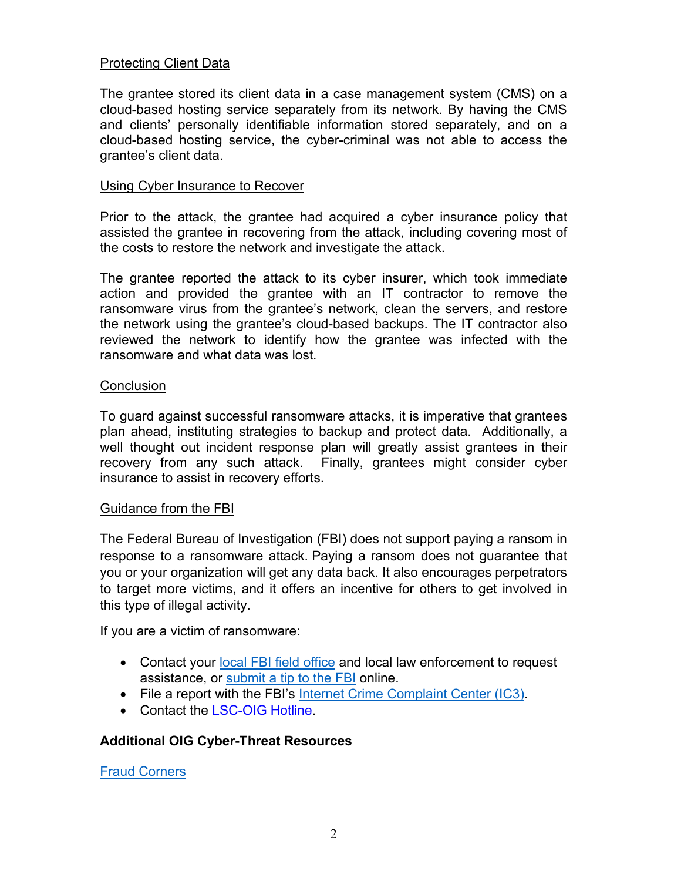## Protecting Client Data

The grantee stored its client data in a case management system (CMS) on a cloud-based hosting service separately from its network. By having the CMS and clients' personally identifiable information stored separately, and on a cloud-based hosting service, the cyber-criminal was not able to access the grantee's client data.

#### Using Cyber Insurance to Recover

Prior to the attack, the grantee had acquired a cyber insurance policy that assisted the grantee in recovering from the attack, including covering most of the costs to restore the network and investigate the attack.

The grantee reported the attack to its cyber insurer, which took immediate action and provided the grantee with an IT contractor to remove the ransomware virus from the grantee's network, clean the servers, and restore the network using the grantee's cloud-based backups. The IT contractor also reviewed the network to identify how the grantee was infected with the ransomware and what data was lost.

#### **Conclusion**

To guard against successful ransomware attacks, it is imperative that grantees plan ahead, instituting strategies to backup and protect data. Additionally, a well thought out incident response plan will greatly assist grantees in their recovery from any such attack. Finally, grantees might consider cyber insurance to assist in recovery efforts.

#### Guidance from the FBI

The Federal Bureau of Investigation (FBI) does not support paying a ransom in response to a ransomware attack. Paying a ransom does not guarantee that you or your organization will get any data back. It also encourages perpetrators to target more victims, and it offers an incentive for others to get involved in this type of illegal activity.

If you are a victim of ransomware:

- Contact your [local FBI field office](https://www.fbi.gov/contact-us/field-offices) and local law enforcement to request assistance, or submit a [tip to the FBI](https://tips.fbi.gov/) online.
- File a report with the FBI's [Internet Crime Complaint Center \(IC3\).](https://www.fbi.gov/ic3)
- Contact the [LSC-OIG Hotline.](https://oig.lsc.gov/contact-us/oig-hotline-menu/contact-the-oig-hotline)

### **Additional OIG Cyber-Threat Resources**

[Fraud Corners](https://oig.lsc.gov/products/investigative-results-and-guidance/the-fraud-corner)